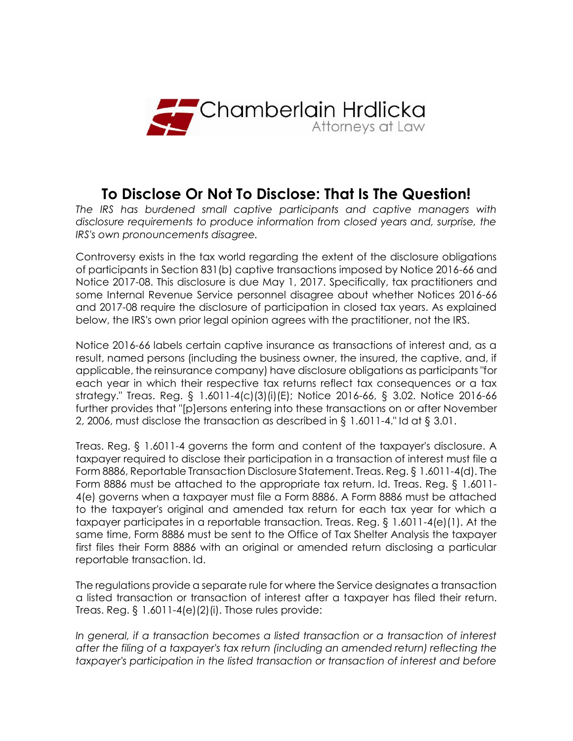

# **To Disclose Or Not To Disclose: That Is The Question!**

*The IRS has burdened small captive participants and captive managers with disclosure requirements to produce information from closed years and, surprise, the IRS's own pronouncements disagree.*

Controversy exists in the tax world regarding the extent of the disclosure obligations of participants in Section 831(b) captive transactions imposed by Notice 2016-66 and Notice 2017-08. This disclosure is due May 1, 2017. Specifically, tax practitioners and some Internal Revenue Service personnel disagree about whether Notices 2016-66 and 2017-08 require the disclosure of participation in closed tax years. As explained below, the IRS's own prior legal opinion agrees with the practitioner, not the IRS.

Notice 2016-66 labels certain captive insurance as transactions of interest and, as a result, named persons (including the business owner, the insured, the captive, and, if applicable, the reinsurance company) have disclosure obligations as participants "for each year in which their respective tax returns reflect tax consequences or a tax strategy." Treas. Reg. § 1.6011-4(c)(3)(i)(E); Notice 2016-66, § 3.02. Notice 2016-66 further provides that "[p]ersons entering into these transactions on or after November 2, 2006, must disclose the transaction as described in § 1.6011-4." Id at § 3.01.

Treas. Reg. § 1.6011-4 governs the form and content of the taxpayer's disclosure. A taxpayer required to disclose their participation in a transaction of interest must file a Form 8886, Reportable Transaction Disclosure Statement. Treas. Reg. § 1.6011-4(d). The Form 8886 must be attached to the appropriate tax return. Id. Treas. Reg. § 1.6011- 4(e) governs when a taxpayer must file a Form 8886. A Form 8886 must be attached to the taxpayer's original and amended tax return for each tax year for which a taxpayer participates in a reportable transaction. Treas. Reg. § 1.6011-4(e)(1). At the same time, Form 8886 must be sent to the Office of Tax Shelter Analysis the taxpayer first files their Form 8886 with an original or amended return disclosing a particular reportable transaction. Id.

The regulations provide a separate rule for where the Service designates a transaction a listed transaction or transaction of interest after a taxpayer has filed their return. Treas. Reg.  $\S$  1.6011-4(e)(2)(i). Those rules provide:

*In general, if a transaction becomes a listed transaction or a transaction of interest after the filing of a taxpayer's tax return (including an amended return) reflecting the taxpayer's participation in the listed transaction or transaction of interest and before*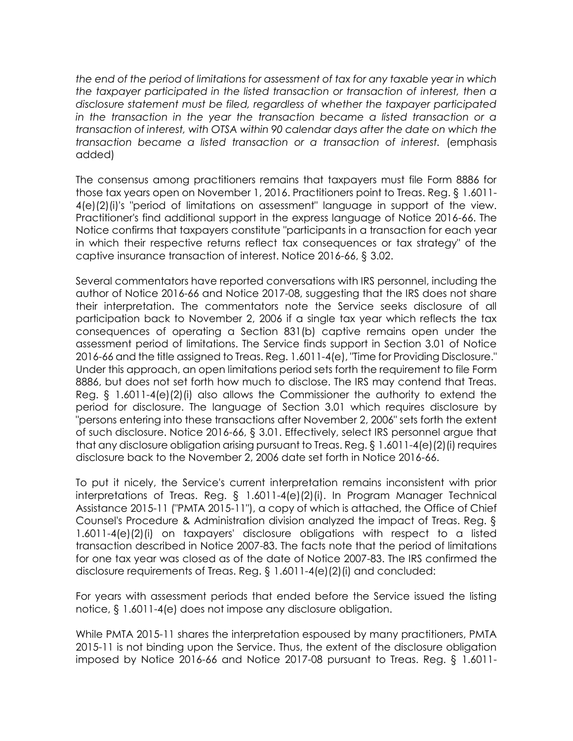*the end of the period of limitations for assessment of tax for any taxable year in which the taxpayer participated in the listed transaction or transaction of interest, then a disclosure statement must be filed, regardless of whether the taxpayer participated in the transaction in the year the transaction became a listed transaction or a transaction of interest, with OTSA within 90 calendar days after the date on which the transaction became a listed transaction or a transaction of interest.* (emphasis added)

The consensus among practitioners remains that taxpayers must file Form 8886 for those tax years open on November 1, 2016. Practitioners point to Treas. Reg. § 1.6011- 4(e)(2)(i)'s "period of limitations on assessment" language in support of the view. Practitioner's find additional support in the express language of Notice 2016-66. The Notice confirms that taxpayers constitute "participants in a transaction for each year in which their respective returns reflect tax consequences or tax strategy" of the captive insurance transaction of interest. Notice 2016-66, § 3.02.

Several commentators have reported conversations with IRS personnel, including the author of Notice 2016-66 and Notice 2017-08, suggesting that the IRS does not share their interpretation. The commentators note the Service seeks disclosure of all participation back to November 2, 2006 if a single tax year which reflects the tax consequences of operating a Section 831(b) captive remains open under the assessment period of limitations. The Service finds support in Section 3.01 of Notice 2016-66 and the title assigned to Treas. Reg. 1.6011-4(e), "Time for Providing Disclosure." Under this approach, an open limitations period sets forth the requirement to file Form 8886, but does not set forth how much to disclose. The IRS may contend that Treas. Reg. § 1.6011-4(e)(2)(i) also allows the Commissioner the authority to extend the period for disclosure. The language of Section 3.01 which requires disclosure by "persons entering into these transactions after November 2, 2006" sets forth the extent of such disclosure. Notice 2016-66, § 3.01. Effectively, select IRS personnel argue that that any disclosure obligation arising pursuant to Treas. Reg. § 1.6011-4(e)(2)(i) requires disclosure back to the November 2, 2006 date set forth in Notice 2016-66.

To put it nicely, the Service's current interpretation remains inconsistent with prior interpretations of Treas. Reg. § 1.6011-4(e)(2)(i). In Program Manager Technical Assistance 2015-11 ("PMTA 2015-11"), a copy of which is attached, the Office of Chief Counsel's Procedure & Administration division analyzed the impact of Treas. Reg. § 1.6011-4(e)(2)(i) on taxpayers' disclosure obligations with respect to a listed transaction described in Notice 2007-83. The facts note that the period of limitations for one tax year was closed as of the date of Notice 2007-83. The IRS confirmed the disclosure requirements of Treas. Reg. § 1.6011-4(e)(2)(i) and concluded:

For years with assessment periods that ended before the Service issued the listing notice, § 1.6011-4(e) does not impose any disclosure obligation.

While PMTA 2015-11 shares the interpretation espoused by many practitioners, PMTA 2015-11 is not binding upon the Service. Thus, the extent of the disclosure obligation imposed by Notice 2016-66 and Notice 2017-08 pursuant to Treas. Reg. § 1.6011-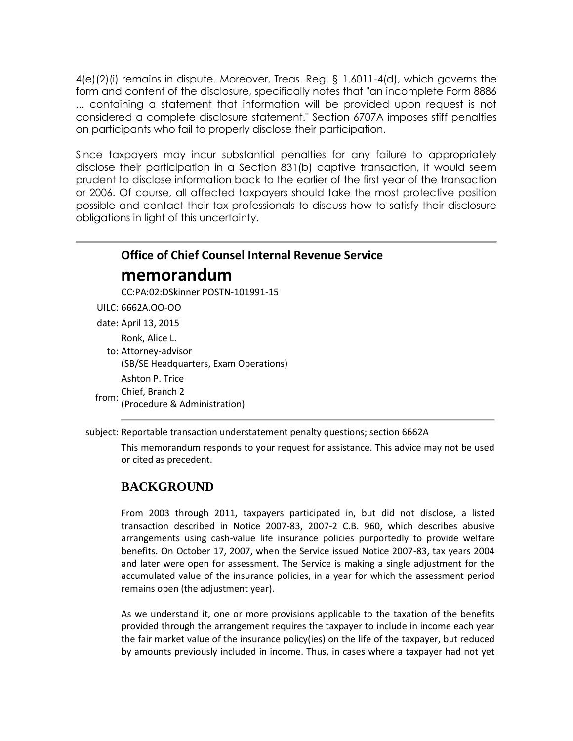4(e)(2)(i) remains in dispute. Moreover, Treas. Reg. § 1.6011-4(d), which governs the form and content of the disclosure, specifically notes that "an incomplete Form 8886 ... containing a statement that information will be provided upon request is not considered a complete disclosure statement." Section 6707A imposes stiff penalties on participants who fail to properly disclose their participation.

Since taxpayers may incur substantial penalties for any failure to appropriately disclose their participation in a Section 831(b) captive transaction, it would seem prudent to disclose information back to the earlier of the first year of the transaction or 2006. Of course, all affected taxpayers should take the most protective position possible and contact their tax professionals to discuss how to satisfy their disclosure obligations in light of this uncertainty.

# **Office of Chief Counsel Internal Revenue Service memorandum**

CC:PA:02:DSkinner POSTN-101991-15

- UILC: 6662A.OO-OO
- date: April 13, 2015

Ronk, Alice L.

to: Attorney-advisor

(SB/SE Headquarters, Exam Operations)

Ashton P. Trice

Chief, Branch 2

from: (Procedure & Administration)

subject: Reportable transaction understatement penalty questions; section 6662A

This memorandum responds to your request for assistance. This advice may not be used or cited as precedent.

## **BACKGROUND**

From 2003 through 2011, taxpayers participated in, but did not disclose, a listed transaction described in Notice 2007-83, 2007-2 C.B. 960, which describes abusive arrangements using cash-value life insurance policies purportedly to provide welfare benefits. On October 17, 2007, when the Service issued Notice 2007-83, tax years 2004 and later were open for assessment. The Service is making a single adjustment for the accumulated value of the insurance policies, in a year for which the assessment period remains open (the adjustment year).

As we understand it, one or more provisions applicable to the taxation of the benefits provided through the arrangement requires the taxpayer to include in income each year the fair market value of the insurance policy(ies) on the life of the taxpayer, but reduced by amounts previously included in income. Thus, in cases where a taxpayer had not yet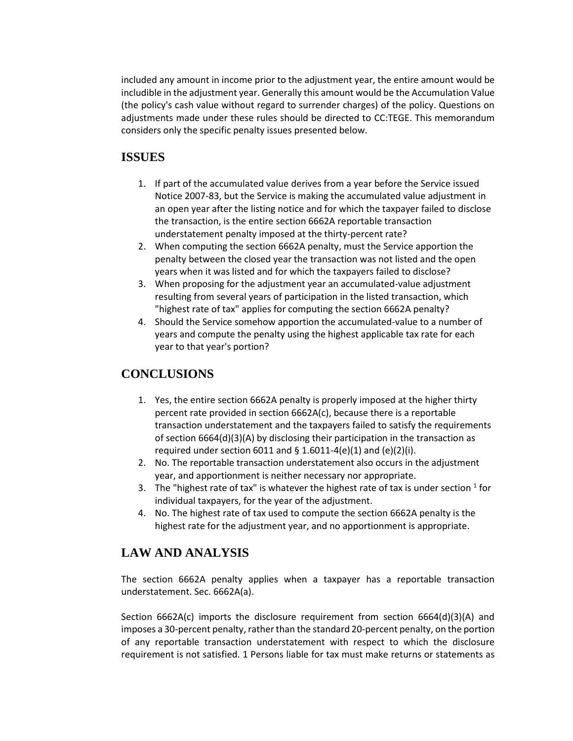included any amount in income prior to the adjustment year, the entire amount would be includible in the adjustment year. Generally this amount would be the Accumulation Value (the policy's cash value without regard to surrender charges) of the policy. Questions on adjustments made under these rules should be directed to CC:TEGE. This memorandum considers only the specific penalty issues presented below.

### **ISSUES**

- 1. If part of the accumulated value derives from a year before the Service issued Notice 2007-83, but the Service is making the accumulated value adjustment in an open year after the listing notice and for which the taxpayer failed to disclose the transaction, is the entire section 6662A reportable transaction understatement penalty imposed at the thirty-percent rate?
- 2. When computing the section 6662A penalty, must the Service apportion the penalty between the closed year the transaction was not listed and the open years when it was listed and for which the taxpayers failed to disclose?
- 3. When proposing for the adjustment year an accumulated-value adjustment resulting from several years of participation in the listed transaction, which "highest rate of tax" applies for computing the section 6662A penalty?
- 4. Should the Service somehow apportion the accumulated-value to a number of years and compute the penalty using the highest applicable tax rate for each year to that year's portion?

## **CONCLUSIONS**

- 1. Yes, the entire section 6662A penalty is properly imposed at the higher thirty percent rate provided in section 6662A(c), because there is a reportable transaction understatement and the taxpayers failed to satisfy the requirements of section 6664(d)(3)(A) by disclosing their participation in the transaction as required under section 6011 and  $\S$  1.6011-4(e)(1) and (e)(2)(i).
- 2. No. The reportable transaction understatement also occurs in the adjustment year, and apportionment is neither necessary nor appropriate.
- 3. The "highest rate of tax" is whatever the highest rate of tax is under section  $^1$  for individual taxpayers, for the year of the adjustment.
- 4. No. The highest rate of tax used to compute the section 6662A penalty is the highest rate for the adjustment year, and no apportionment is appropriate.

# **LAW AND ANALYSIS**

The section 6662A penalty applies when a taxpayer has a reportable transaction understatement. Sec. 6662A(a).

Section 6662A(c) imports the disclosure requirement from section 6664(d)(3)(A) and imposes a 30-percent penalty, rather than the standard 20-percent penalty, on the portion of any reportable transaction understatement with respect to which the disclosure requirement is not satisfied. 1 Persons liable for tax must make returns or statements as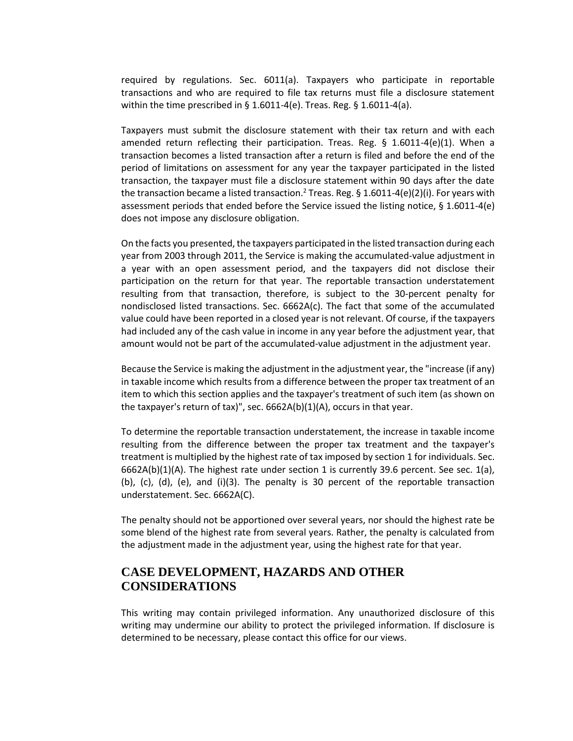required by regulations. Sec. 6011(a). Taxpayers who participate in reportable transactions and who are required to file tax returns must file a disclosure statement within the time prescribed in  $\S$  1.6011-4(e). Treas. Reg.  $\S$  1.6011-4(a).

Taxpayers must submit the disclosure statement with their tax return and with each amended return reflecting their participation. Treas. Reg.  $\S$  1.6011-4 $\{e\}(1)$ . When a transaction becomes a listed transaction after a return is filed and before the end of the period of limitations on assessment for any year the taxpayer participated in the listed transaction, the taxpayer must file a disclosure statement within 90 days after the date the transaction became a listed transaction.<sup>2</sup> Treas. Reg. § 1.6011-4(e)(2)(i). For years with assessment periods that ended before the Service issued the listing notice, § 1.6011-4(e) does not impose any disclosure obligation.

On the facts you presented, the taxpayers participated in the listed transaction during each year from 2003 through 2011, the Service is making the accumulated-value adjustment in a year with an open assessment period, and the taxpayers did not disclose their participation on the return for that year. The reportable transaction understatement resulting from that transaction, therefore, is subject to the 30-percent penalty for nondisclosed listed transactions. Sec. 6662A(c). The fact that some of the accumulated value could have been reported in a closed year is not relevant. Of course, if the taxpayers had included any of the cash value in income in any year before the adjustment year, that amount would not be part of the accumulated-value adjustment in the adjustment year.

Because the Service is making the adjustment in the adjustment year, the "increase (if any) in taxable income which results from a difference between the proper tax treatment of an item to which this section applies and the taxpayer's treatment of such item (as shown on the taxpayer's return of tax)", sec. 6662A(b)(1)(A), occurs in that year.

To determine the reportable transaction understatement, the increase in taxable income resulting from the difference between the proper tax treatment and the taxpayer's treatment is multiplied by the highest rate of tax imposed by section 1 for individuals. Sec.  $6662A(b)(1)(A)$ . The highest rate under section 1 is currently 39.6 percent. See sec. 1(a), (b), (c), (d), (e), and (i)(3). The penalty is 30 percent of the reportable transaction understatement. Sec. 6662A(C).

The penalty should not be apportioned over several years, nor should the highest rate be some blend of the highest rate from several years. Rather, the penalty is calculated from the adjustment made in the adjustment year, using the highest rate for that year.

## **CASE DEVELOPMENT, HAZARDS AND OTHER CONSIDERATIONS**

This writing may contain privileged information. Any unauthorized disclosure of this writing may undermine our ability to protect the privileged information. If disclosure is determined to be necessary, please contact this office for our views.